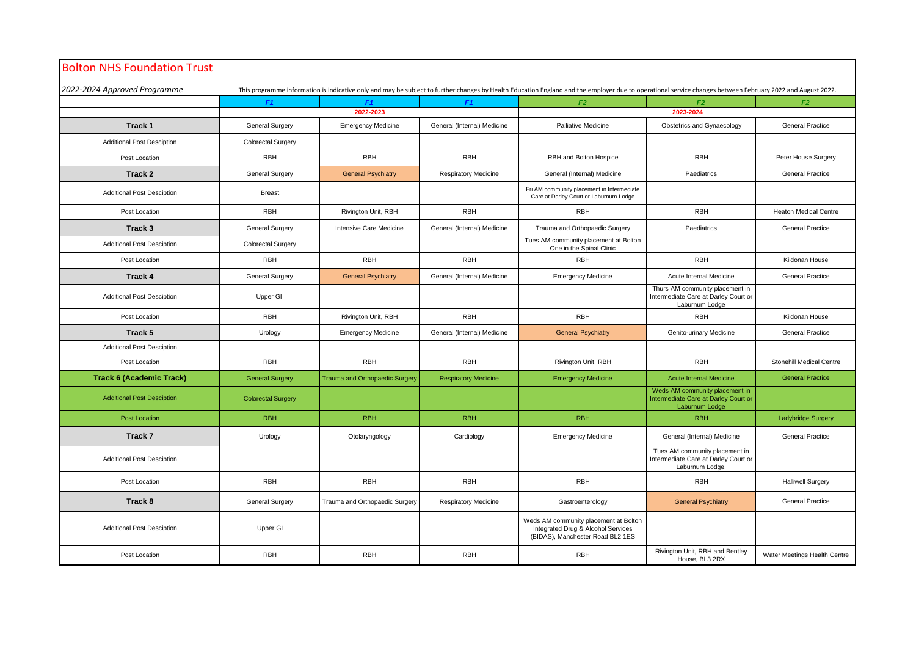| <b>Bolton NHS Foundation Trust</b> |                                                                                                                                                                                                            |                                       |                             |                                                                                                                 |                                                                                           |                              |  |  |  |  |
|------------------------------------|------------------------------------------------------------------------------------------------------------------------------------------------------------------------------------------------------------|---------------------------------------|-----------------------------|-----------------------------------------------------------------------------------------------------------------|-------------------------------------------------------------------------------------------|------------------------------|--|--|--|--|
| 2022-2024 Approved Programme       | This programme information is indicative only and may be subject to further changes by Health Education England and the employer due to operational service changes between February 2022 and August 2022. |                                       |                             |                                                                                                                 |                                                                                           |                              |  |  |  |  |
|                                    | F1                                                                                                                                                                                                         | F1                                    | F1                          | F2                                                                                                              | F <sub>2</sub>                                                                            | F2                           |  |  |  |  |
|                                    |                                                                                                                                                                                                            | 2022-2023                             |                             |                                                                                                                 | 2023-2024                                                                                 |                              |  |  |  |  |
| Track 1                            | <b>General Surgery</b>                                                                                                                                                                                     | <b>Emergency Medicine</b>             | General (Internal) Medicine | <b>Palliative Medicine</b>                                                                                      | Obstetrics and Gynaecology                                                                | <b>General Practice</b>      |  |  |  |  |
| Additional Post Desciption         | Colorectal Surgery                                                                                                                                                                                         |                                       |                             |                                                                                                                 |                                                                                           |                              |  |  |  |  |
| Post Location                      | <b>RBH</b>                                                                                                                                                                                                 | <b>RBH</b>                            | <b>RBH</b>                  | RBH and Bolton Hospice                                                                                          | <b>RBH</b>                                                                                | Peter House Surgery          |  |  |  |  |
| Track 2                            | <b>General Surgery</b>                                                                                                                                                                                     | <b>General Psychiatry</b>             | <b>Respiratory Medicine</b> | General (Internal) Medicine                                                                                     | Paediatrics                                                                               | <b>General Practice</b>      |  |  |  |  |
| <b>Additional Post Desciption</b>  | <b>Breast</b>                                                                                                                                                                                              |                                       |                             | Fri AM community placement in Intermediate<br>Care at Darley Court or Laburnum Lodge                            |                                                                                           |                              |  |  |  |  |
| Post Location                      | <b>RBH</b>                                                                                                                                                                                                 | Rivington Unit, RBH                   | <b>RBH</b>                  | <b>RBH</b>                                                                                                      | <b>RBH</b>                                                                                | <b>Heaton Medical Centre</b> |  |  |  |  |
| Track 3                            | <b>General Surgery</b>                                                                                                                                                                                     | Intensive Care Medicine               | General (Internal) Medicine | Trauma and Orthopaedic Surgery                                                                                  | Paediatrics                                                                               | <b>General Practice</b>      |  |  |  |  |
| <b>Additional Post Desciption</b>  | <b>Colorectal Surgery</b>                                                                                                                                                                                  |                                       |                             | Tues AM community placement at Bolton<br>One in the Spinal Clinic                                               |                                                                                           |                              |  |  |  |  |
| Post Location                      | <b>RBH</b>                                                                                                                                                                                                 | <b>RBH</b>                            | RBH                         | <b>RBH</b>                                                                                                      | <b>RBH</b>                                                                                | Kildonan House               |  |  |  |  |
| Track 4                            | <b>General Surgery</b>                                                                                                                                                                                     | <b>General Psychiatry</b>             | General (Internal) Medicine | <b>Emergency Medicine</b>                                                                                       | Acute Internal Medicine                                                                   | <b>General Practice</b>      |  |  |  |  |
| <b>Additional Post Desciption</b>  | Upper GI                                                                                                                                                                                                   |                                       |                             |                                                                                                                 | Thurs AM community placement in<br>Intermediate Care at Darley Court or<br>Laburnum Lodge |                              |  |  |  |  |
| Post Location                      | <b>RBH</b>                                                                                                                                                                                                 | Rivington Unit, RBH                   | <b>RBH</b>                  | <b>RBH</b>                                                                                                      | <b>RBH</b>                                                                                | Kildonan House               |  |  |  |  |
| Track 5                            | Urology                                                                                                                                                                                                    | <b>Emergency Medicine</b>             | General (Internal) Medicine | <b>General Psychiatry</b>                                                                                       | Genito-urinary Medicine                                                                   | <b>General Practice</b>      |  |  |  |  |
| <b>Additional Post Desciption</b>  |                                                                                                                                                                                                            |                                       |                             |                                                                                                                 |                                                                                           |                              |  |  |  |  |
| Post Location                      | <b>RBH</b>                                                                                                                                                                                                 | <b>RBH</b>                            | <b>RBH</b>                  | Rivington Unit, RBH                                                                                             | <b>RBH</b>                                                                                | Stonehill Medical Centre     |  |  |  |  |
| <b>Track 6 (Academic Track)</b>    | <b>General Surgery</b>                                                                                                                                                                                     | <b>Trauma and Orthopaedic Surgery</b> | <b>Respiratory Medicine</b> | <b>Emergency Medicine</b>                                                                                       | <b>Acute Internal Medicine</b>                                                            | <b>General Practice</b>      |  |  |  |  |
| <b>Additional Post Desciption</b>  | <b>Colorectal Surgery</b>                                                                                                                                                                                  |                                       |                             |                                                                                                                 | Weds AM community placement in<br>Intermediate Care at Darley Court or<br>Laburnum Lodge  |                              |  |  |  |  |
| <b>Post Location</b>               | <b>RBH</b>                                                                                                                                                                                                 | <b>RBH</b>                            | <b>RBH</b>                  | <b>RBH</b>                                                                                                      | <b>RBH</b>                                                                                | <b>Ladybridge Surgery</b>    |  |  |  |  |
| Track 7                            | Urology                                                                                                                                                                                                    | Otolaryngology                        | Cardiology                  | <b>Emergency Medicine</b>                                                                                       | General (Internal) Medicine                                                               | <b>General Practice</b>      |  |  |  |  |
| <b>Additional Post Desciption</b>  |                                                                                                                                                                                                            |                                       |                             |                                                                                                                 | Tues AM community placement in<br>Intermediate Care at Darley Court or<br>Laburnum Lodge. |                              |  |  |  |  |
| Post Location                      | <b>RBH</b>                                                                                                                                                                                                 | <b>RBH</b>                            | RBH                         | <b>RBH</b>                                                                                                      | <b>RBH</b>                                                                                | <b>Halliwell Surgery</b>     |  |  |  |  |
| Track 8                            | <b>General Surgery</b>                                                                                                                                                                                     | Trauma and Orthopaedic Surgery        | <b>Respiratory Medicine</b> | Gastroenterology                                                                                                | <b>General Psychiatry</b>                                                                 | <b>General Practice</b>      |  |  |  |  |
| <b>Additional Post Desciption</b>  | Upper GI                                                                                                                                                                                                   |                                       |                             | Weds AM community placement at Bolton<br>Integrated Drug & Alcohol Services<br>(BIDAS), Manchester Road BL2 1ES |                                                                                           |                              |  |  |  |  |
| Post Location                      | <b>RBH</b>                                                                                                                                                                                                 | <b>RBH</b>                            | RBH                         | <b>RBH</b>                                                                                                      | Rivington Unit, RBH and Bentley<br>House, BL3 2RX                                         | Water Meetings Health Centre |  |  |  |  |